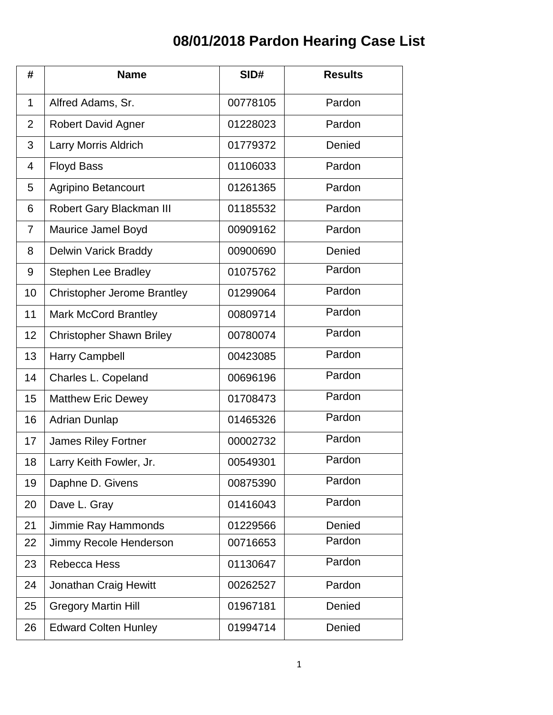## **08/01/2018 Pardon Hearing Case List**

| #              | <b>Name</b>                        | SID#     | <b>Results</b> |
|----------------|------------------------------------|----------|----------------|
| $\mathbf{1}$   | Alfred Adams, Sr.                  | 00778105 | Pardon         |
| $\overline{2}$ | <b>Robert David Agner</b>          | 01228023 | Pardon         |
| 3              | Larry Morris Aldrich               | 01779372 | Denied         |
| $\overline{4}$ | <b>Floyd Bass</b>                  | 01106033 | Pardon         |
| 5              | Agripino Betancourt                | 01261365 | Pardon         |
| 6              | Robert Gary Blackman III           | 01185532 | Pardon         |
| $\overline{7}$ | Maurice Jamel Boyd                 | 00909162 | Pardon         |
| 8              | <b>Delwin Varick Braddy</b>        | 00900690 | Denied         |
| 9              | <b>Stephen Lee Bradley</b>         | 01075762 | Pardon         |
| 10             | <b>Christopher Jerome Brantley</b> | 01299064 | Pardon         |
| 11             | <b>Mark McCord Brantley</b>        | 00809714 | Pardon         |
| 12             | <b>Christopher Shawn Briley</b>    | 00780074 | Pardon         |
| 13             | Harry Campbell                     | 00423085 | Pardon         |
| 14             | Charles L. Copeland                | 00696196 | Pardon         |
| 15             | <b>Matthew Eric Dewey</b>          | 01708473 | Pardon         |
| 16             | <b>Adrian Dunlap</b>               | 01465326 | Pardon         |
| 17             | <b>James Riley Fortner</b>         | 00002732 | Pardon         |
| 18             | Larry Keith Fowler, Jr.            | 00549301 | Pardon         |
| 19             | Daphne D. Givens                   | 00875390 | Pardon         |
| 20             | Dave L. Gray                       | 01416043 | Pardon         |
| 21             | Jimmie Ray Hammonds                | 01229566 | Denied         |
| 22             | Jimmy Recole Henderson             | 00716653 | Pardon         |
| 23             | Rebecca Hess                       | 01130647 | Pardon         |
| 24             | <b>Jonathan Craig Hewitt</b>       | 00262527 | Pardon         |
| 25             | <b>Gregory Martin Hill</b>         | 01967181 | Denied         |
| 26             | <b>Edward Colten Hunley</b>        | 01994714 | Denied         |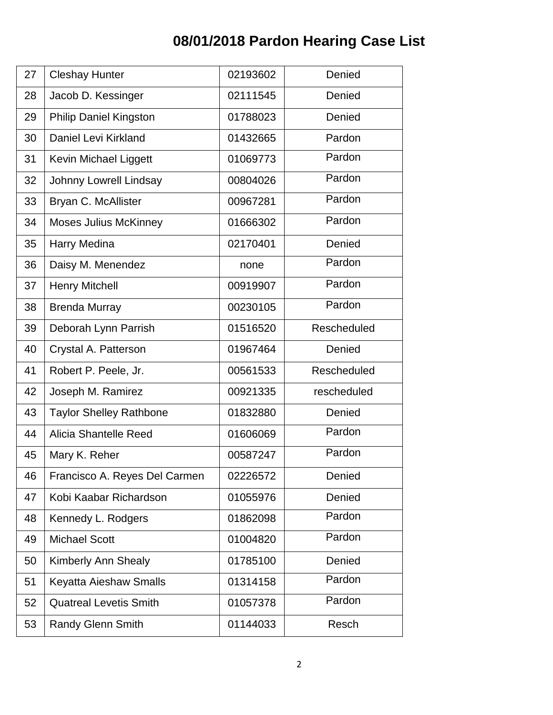## **08/01/2018 Pardon Hearing Case List**

| 27 | <b>Cleshay Hunter</b>          | 02193602 | Denied      |
|----|--------------------------------|----------|-------------|
| 28 | Jacob D. Kessinger             | 02111545 | Denied      |
| 29 | <b>Philip Daniel Kingston</b>  | 01788023 | Denied      |
| 30 | Daniel Levi Kirkland           | 01432665 | Pardon      |
| 31 | Kevin Michael Liggett          | 01069773 | Pardon      |
| 32 | Johnny Lowrell Lindsay         | 00804026 | Pardon      |
| 33 | Bryan C. McAllister            | 00967281 | Pardon      |
| 34 | Moses Julius McKinney          | 01666302 | Pardon      |
| 35 | Harry Medina                   | 02170401 | Denied      |
| 36 | Daisy M. Menendez              | none     | Pardon      |
| 37 | <b>Henry Mitchell</b>          | 00919907 | Pardon      |
| 38 | <b>Brenda Murray</b>           | 00230105 | Pardon      |
| 39 | Deborah Lynn Parrish           | 01516520 | Rescheduled |
| 40 | Crystal A. Patterson           | 01967464 | Denied      |
| 41 | Robert P. Peele, Jr.           | 00561533 | Rescheduled |
| 42 | Joseph M. Ramirez              | 00921335 | rescheduled |
| 43 | <b>Taylor Shelley Rathbone</b> | 01832880 | Denied      |
| 44 | Alicia Shantelle Reed          | 01606069 | Pardon      |
| 45 | Mary K. Reher                  | 00587247 | Pardon      |
| 46 | Francisco A. Reyes Del Carmen  | 02226572 | Denied      |
| 47 | Kobi Kaabar Richardson         | 01055976 | Denied      |
| 48 | Kennedy L. Rodgers             | 01862098 | Pardon      |
| 49 | <b>Michael Scott</b>           | 01004820 | Pardon      |
| 50 | <b>Kimberly Ann Shealy</b>     | 01785100 | Denied      |
| 51 | Keyatta Aieshaw Smalls         | 01314158 | Pardon      |
| 52 | <b>Quatreal Levetis Smith</b>  | 01057378 | Pardon      |
| 53 | <b>Randy Glenn Smith</b>       | 01144033 | Resch       |